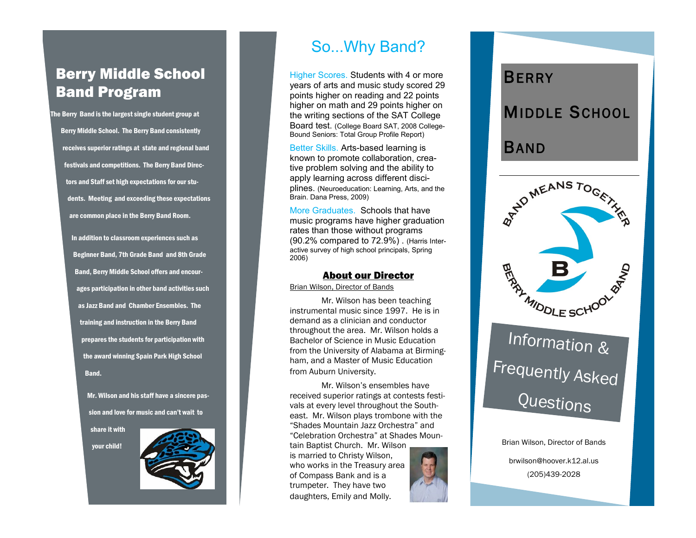## Berry Middle School Band Program

The Berry Band is the largest single student group at Berry Middle School. The Berry Band consistently receives superior ratings at state and regional band festivals and competitions. The Berry Band Directors and Staff set high expectations for our students. Meeting and exceeding these expectations are common place in the Berry Band Room.

> In addition to classroom experiences such as Beginner Band, 7th Grade Band and 8th Grade Band, Berry Middle School offers and encourages participation in other band activities such as Jazz Band and Chamber Ensembles. The training and instruction in the Berry Band prepares the students for participation with the award winning Spain Park High School Band.

> > Mr. Wilson and his staff have a sincere passion and love for music and can't wait to

share it with

your child!



## So...Why Band?

Higher Scores. Students with 4 or more years of arts and music study scored 29 points higher on reading and 22 points higher on math and 29 points higher on the writing sections of the SAT College Board test. (College Board SAT, 2008 College - Bound Seniors: Total Group Profile Report)

Better Skills. Arts -based learning is known to promote collaboration, creative problem solving and the ability to apply learning across different disciplines. (Neuroeducation: Learning, Arts, and the Brain. Dana Press, 2009)

More Graduates. Schools that have music programs have higher graduation rates than those without programs (90.2% compared to 72.9%) . (Harris Interactive survey of high school principals, Spring 2006)

#### About our Director

Brian Wilson, Director of Bands

Mr. Wilson has been teaching instrumental music since 1997. He is in demand as a clinician and conductor throughout the area. Mr. Wilson holds a Bachelor of Science in Music Education from the University of Alabama at Birmingham, and a Master of Music Education from Auburn University.

Mr. Wilson's ensembles have received superior ratings at contests festivals at every level throughout the Southeast. Mr. Wilson plays trombone with the "Shades Mountain Jazz Orchestra" and "Celebration Orchestra" at Shades Mountain Baptist Church. Mr. Wilson

is married to Christy Wilson, who works in the Treasury area of Compass Bank and is a trumpeter. They have two daughters, Emily and Molly.



# BERRY<br>MIDDLE SCHOOL<br>BAND



# **Questions**